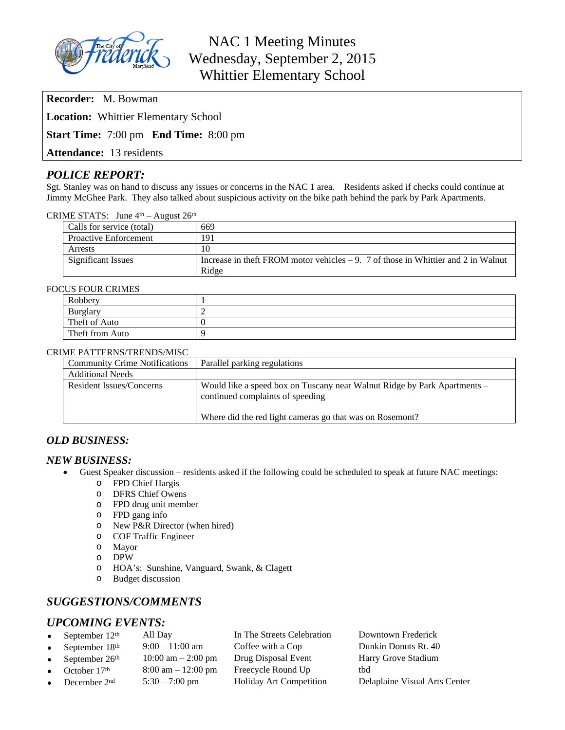

NAC 1 Meeting Minutes Wednesday, September 2, 2015 Whittier Elementary School

**Recorder:** M. Bowman

**Location:** Whittier Elementary School

**Start Time:** 7:00 pm **End Time:** 8:00 pm

**Attendance:** 13 residents

# *POLICE REPORT:*

Sgt. Stanley was on hand to discuss any issues or concerns in the NAC 1 area. Residents asked if checks could continue at Jimmy McGhee Park. They also talked about suspicious activity on the bike path behind the park by Park Apartments.

CRIME STATS: June  $4<sup>th</sup>$  – August  $26<sup>th</sup>$ 

| Calls for service (total)    | 669                                                                                  |
|------------------------------|--------------------------------------------------------------------------------------|
| <b>Proactive Enforcement</b> | 191                                                                                  |
| Arrests                      | 10                                                                                   |
| <b>Significant Issues</b>    | Increase in the ft FROM motor vehicles $-9$ . 7 of those in Whittier and 2 in Walnut |
|                              | Ridge                                                                                |

## FOCUS FOUR CRIMES

| OU I OUN CINIMILD |  |  |  |  |
|-------------------|--|--|--|--|
| Robbery           |  |  |  |  |
| Burglary          |  |  |  |  |
| Theft of Auto     |  |  |  |  |
| Theft from Auto   |  |  |  |  |

#### CRIME PATTERNS/TRENDS/MISC

| <b>Community Crime Notifications</b> | Parallel parking regulations                                                                                 |
|--------------------------------------|--------------------------------------------------------------------------------------------------------------|
| <b>Additional Needs</b>              |                                                                                                              |
| Resident Issues/Concerns             | Would like a speed box on Tuscany near Walnut Ridge by Park Apartments –<br>continued complaints of speeding |
|                                      | Where did the red light cameras go that was on Rosemont?                                                     |

## *OLD BUSINESS:*

## *NEW BUSINESS:*

- Guest Speaker discussion residents asked if the following could be scheduled to speak at future NAC meetings:
	- o FPD Chief Hargis
	- o DFRS Chief Owens
	- o FPD drug unit member
	- o FPD gang info
	- o New P&R Director (when hired)
	- o COF Traffic Engineer
	- o Mayor
	- o DPW
	- o HOA's: Sunshine, Vanguard, Swank, & Clagett
	- o Budget discussion

# *SUGGESTIONS/COMMENTS*

# *UPCOMING EVENTS:*

| • September $12th$ | All Day                              | In The Streets Celebration     | Downtown Frederick            |
|--------------------|--------------------------------------|--------------------------------|-------------------------------|
| • September $18th$ | $9:00 - 11:00$ am                    | Coffee with a Cop              | Dunkin Donuts Rt. 40          |
| • September $26th$ | $10:00 \text{ am} - 2:00 \text{ pm}$ | Drug Disposal Event            | Harry Grove Stadium           |
| • October $17th$   | $8:00 \text{ am} - 12:00 \text{ pm}$ | Freecycle Round Up             | tbd                           |
| • December $2nd$   | $5:30 - 7:00$ pm                     | <b>Holiday Art Competition</b> | Delaplaine Visual Arts Center |